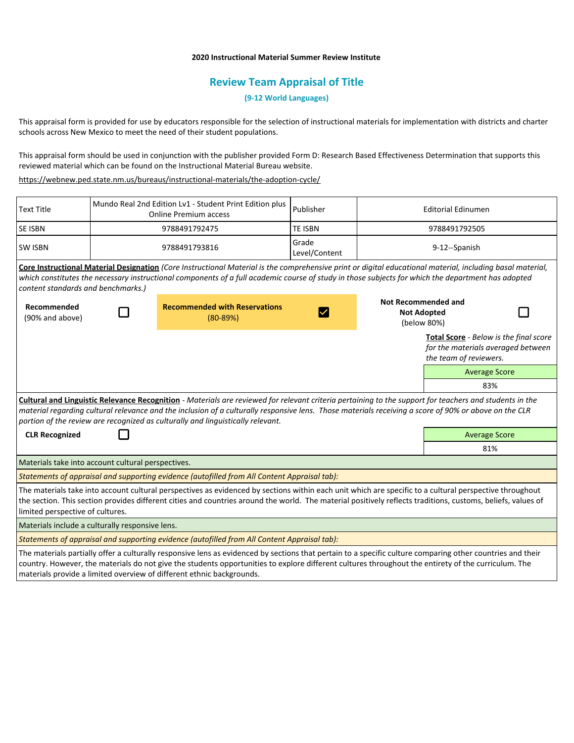## **2020 Instructional Material Summer Review Institute**

# **Review Team Appraisal of Title**

**(9-12 World Languages)**

This appraisal form is provided for use by educators responsible for the selection of instructional materials for implementation with districts and charter schools across New Mexico to meet the need of their student populations.

This appraisal form should be used in conjunction with the publisher provided Form D: Research Based Effectiveness Determination that supports this reviewed material which can be found on the Instructional Material Bureau website.

<https://webnew.ped.state.nm.us/bureaus/instructional-materials/the-adoption-cycle/>

| <b>Text Title</b>                                                                                                                                                                                                                                                                                                                                                                                   | Mundo Real 2nd Edition Lv1 - Student Print Edition plus<br><b>Online Premium access</b> |                                                      | Publisher              | <b>Editorial Edinumen</b>                                       |                                                                                                        |  |
|-----------------------------------------------------------------------------------------------------------------------------------------------------------------------------------------------------------------------------------------------------------------------------------------------------------------------------------------------------------------------------------------------------|-----------------------------------------------------------------------------------------|------------------------------------------------------|------------------------|-----------------------------------------------------------------|--------------------------------------------------------------------------------------------------------|--|
| <b>SE ISBN</b>                                                                                                                                                                                                                                                                                                                                                                                      | 9788491792475                                                                           |                                                      | <b>TE ISBN</b>         | 9788491792505                                                   |                                                                                                        |  |
| <b>SW ISBN</b>                                                                                                                                                                                                                                                                                                                                                                                      | 9788491793816                                                                           |                                                      | Grade<br>Level/Content | 9-12--Spanish                                                   |                                                                                                        |  |
| Core Instructional Material Designation (Core Instructional Material is the comprehensive print or digital educational material, including basal material,<br>which constitutes the necessary instructional components of a full academic course of study in those subjects for which the department has adopted<br>content standards and benchmarks.)                                              |                                                                                         |                                                      |                        |                                                                 |                                                                                                        |  |
| Recommended<br>(90% and above)                                                                                                                                                                                                                                                                                                                                                                      |                                                                                         | <b>Recommended with Reservations</b><br>$(80 - 89%)$ |                        | <b>Not Recommended and</b><br><b>Not Adopted</b><br>(below 80%) |                                                                                                        |  |
|                                                                                                                                                                                                                                                                                                                                                                                                     |                                                                                         |                                                      |                        |                                                                 | Total Score - Below is the final score<br>for the materials averaged between<br>the team of reviewers. |  |
|                                                                                                                                                                                                                                                                                                                                                                                                     |                                                                                         |                                                      |                        |                                                                 | <b>Average Score</b>                                                                                   |  |
|                                                                                                                                                                                                                                                                                                                                                                                                     |                                                                                         |                                                      |                        |                                                                 | 83%                                                                                                    |  |
| Cultural and Linguistic Relevance Recognition - Materials are reviewed for relevant criteria pertaining to the support for teachers and students in the<br>material regarding cultural relevance and the inclusion of a culturally responsive lens. Those materials receiving a score of 90% or above on the CLR<br>portion of the review are recognized as culturally and linguistically relevant. |                                                                                         |                                                      |                        |                                                                 |                                                                                                        |  |
| <b>CLR Recognized</b>                                                                                                                                                                                                                                                                                                                                                                               |                                                                                         |                                                      |                        |                                                                 | <b>Average Score</b>                                                                                   |  |
|                                                                                                                                                                                                                                                                                                                                                                                                     |                                                                                         |                                                      |                        |                                                                 | 81%                                                                                                    |  |
| Materials take into account cultural perspectives.                                                                                                                                                                                                                                                                                                                                                  |                                                                                         |                                                      |                        |                                                                 |                                                                                                        |  |
| Statements of appraisal and supporting evidence (autofilled from All Content Appraisal tab):                                                                                                                                                                                                                                                                                                        |                                                                                         |                                                      |                        |                                                                 |                                                                                                        |  |
| The materials take into account cultural perspectives as evidenced by sections within each unit which are specific to a cultural perspective throughout<br>the section. This section provides different cities and countries around the world. The material positively reflects traditions, customs, beliefs, values of<br>limited perspective of cultures.                                         |                                                                                         |                                                      |                        |                                                                 |                                                                                                        |  |
| Materials include a culturally responsive lens.                                                                                                                                                                                                                                                                                                                                                     |                                                                                         |                                                      |                        |                                                                 |                                                                                                        |  |
| Statements of appraisal and supporting evidence (autofilled from All Content Appraisal tab):                                                                                                                                                                                                                                                                                                        |                                                                                         |                                                      |                        |                                                                 |                                                                                                        |  |
| The materials partially offer a culturally responsive lens as evidenced by sections that pertain to a specific culture comparing other countries and their<br>country. However, the materials do not give the students opportunities to explore different cultures throughout the entirety of the curriculum. The<br>materials provide a limited overview of different ethnic backgrounds.          |                                                                                         |                                                      |                        |                                                                 |                                                                                                        |  |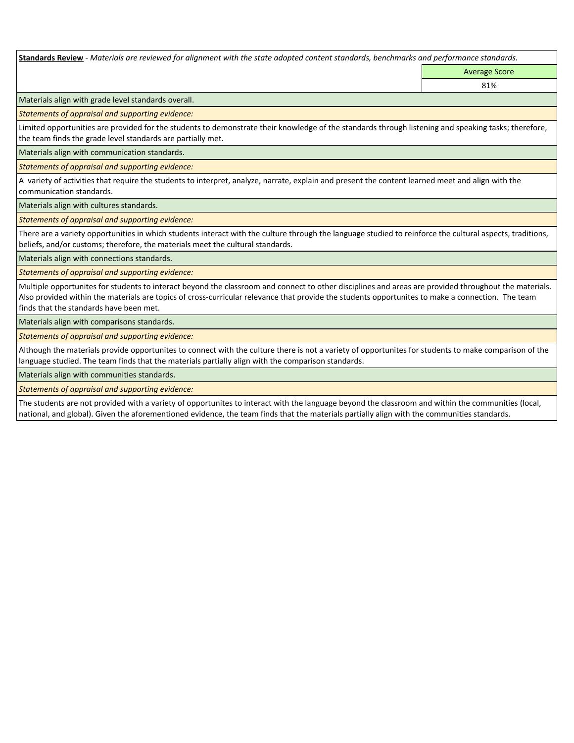**Standards Review** *- Materials are reviewed for alignment with the state adopted content standards, benchmarks and performance standards.*

Average Score 81%

Materials align with grade level standards overall.

*Statements of appraisal and supporting evidence:* 

Limited opportunities are provided for the students to demonstrate their knowledge of the standards through listening and speaking tasks; therefore, the team finds the grade level standards are partially met.

Materials align with communication standards.

*Statements of appraisal and supporting evidence:* 

A variety of activities that require the students to interpret, analyze, narrate, explain and present the content learned meet and align with the communication standards.

Materials align with cultures standards.

*Statements of appraisal and supporting evidence:* 

There are a variety opportunities in which students interact with the culture through the language studied to reinforce the cultural aspects, traditions, beliefs, and/or customs; therefore, the materials meet the cultural standards.

Materials align with connections standards.

*Statements of appraisal and supporting evidence:* 

Multiple opportunites for students to interact beyond the classroom and connect to other disciplines and areas are provided throughout the materials. Also provided within the materials are topics of cross-curricular relevance that provide the students opportunites to make a connection. The team finds that the standards have been met.

Materials align with comparisons standards.

*Statements of appraisal and supporting evidence:* 

Although the materials provide opportunites to connect with the culture there is not a variety of opportunites for students to make comparison of the language studied. The team finds that the materials partially align with the comparison standards.

Materials align with communities standards.

*Statements of appraisal and supporting evidence:* 

The students are not provided with a variety of opportunites to interact with the language beyond the classroom and within the communities (local, national, and global). Given the aforementioned evidence, the team finds that the materials partially align with the communities standards.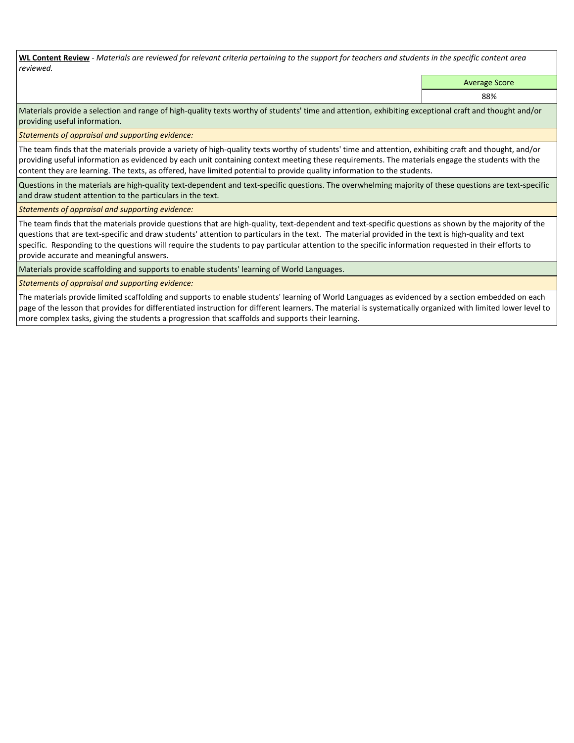**WL Content Review** *- Materials are reviewed for relevant criteria pertaining to the support for teachers and students in the specific content area reviewed.*

Average Score

88%

Materials provide a selection and range of high-quality texts worthy of students' time and attention, exhibiting exceptional craft and thought and/or providing useful information.

*Statements of appraisal and supporting evidence:* 

The team finds that the materials provide a variety of high-quality texts worthy of students' time and attention, exhibiting craft and thought, and/or providing useful information as evidenced by each unit containing context meeting these requirements. The materials engage the students with the content they are learning. The texts, as offered, have limited potential to provide quality information to the students.

Questions in the materials are high-quality text-dependent and text-specific questions. The overwhelming majority of these questions are text-specific and draw student attention to the particulars in the text.

*Statements of appraisal and supporting evidence:* 

The team finds that the materials provide questions that are high-quality, text-dependent and text-specific questions as shown by the majority of the questions that are text-specific and draw students' attention to particulars in the text. The material provided in the text is high-quality and text specific. Responding to the questions will require the students to pay particular attention to the specific information requested in their efforts to provide accurate and meaningful answers.

Materials provide scaffolding and supports to enable students' learning of World Languages.

*Statements of appraisal and supporting evidence:* 

The materials provide limited scaffolding and supports to enable students' learning of World Languages as evidenced by a section embedded on each page of the lesson that provides for differentiated instruction for different learners. The material is systematically organized with limited lower level to more complex tasks, giving the students a progression that scaffolds and supports their learning.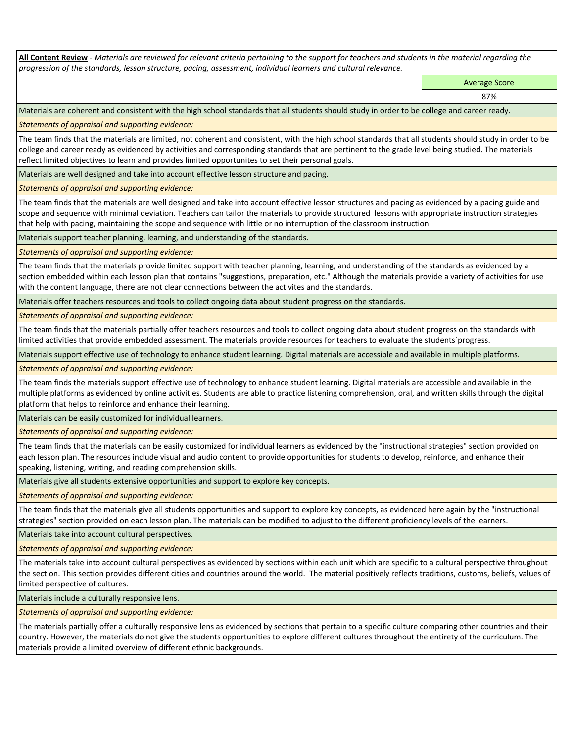**All Content Review** *- Materials are reviewed for relevant criteria pertaining to the support for teachers and students in the material regarding the progression of the standards, lesson structure, pacing, assessment, individual learners and cultural relevance.*

> Average Score 87%

Materials are coherent and consistent with the high school standards that all students should study in order to be college and career ready.

*Statements of appraisal and supporting evidence:*

The team finds that the materials are limited, not coherent and consistent, with the high school standards that all students should study in order to be college and career ready as evidenced by activities and corresponding standards that are pertinent to the grade level being studied. The materials reflect limited objectives to learn and provides limited opportunites to set their personal goals.

Materials are well designed and take into account effective lesson structure and pacing.

*Statements of appraisal and supporting evidence:*

The team finds that the materials are well designed and take into account effective lesson structures and pacing as evidenced by a pacing guide and scope and sequence with minimal deviation. Teachers can tailor the materials to provide structured lessons with appropriate instruction strategies that help with pacing, maintaining the scope and sequence with little or no interruption of the classroom instruction.

Materials support teacher planning, learning, and understanding of the standards.

*Statements of appraisal and supporting evidence:*

The team finds that the materials provide limited support with teacher planning, learning, and understanding of the standards as evidenced by a section embedded within each lesson plan that contains "suggestions, preparation, etc." Although the materials provide a variety of activities for use with the content language, there are not clear connections between the activites and the standards.

Materials offer teachers resources and tools to collect ongoing data about student progress on the standards.

*Statements of appraisal and supporting evidence:*

The team finds that the materials partially offer teachers resources and tools to collect ongoing data about student progress on the standards with limited activities that provide embedded assessment. The materials provide resources for teachers to evaluate the students´progress.

Materials support effective use of technology to enhance student learning. Digital materials are accessible and available in multiple platforms.

*Statements of appraisal and supporting evidence:*

The team finds the materials support effective use of technology to enhance student learning. Digital materials are accessible and available in the multiple platforms as evidenced by online activities. Students are able to practice listening comprehension, oral, and written skills through the digital platform that helps to reinforce and enhance their learning.

Materials can be easily customized for individual learners.

*Statements of appraisal and supporting evidence:* 

The team finds that the materials can be easily customized for individual learners as evidenced by the "instructional strategies" section provided on each lesson plan. The resources include visual and audio content to provide opportunities for students to develop, reinforce, and enhance their speaking, listening, writing, and reading comprehension skills.

Materials give all students extensive opportunities and support to explore key concepts.

*Statements of appraisal and supporting evidence:*

The team finds that the materials give all students opportunities and support to explore key concepts, as evidenced here again by the "instructional strategies" section provided on each lesson plan. The materials can be modified to adjust to the different proficiency levels of the learners.

Materials take into account cultural perspectives.

*Statements of appraisal and supporting evidence:*

The materials take into account cultural perspectives as evidenced by sections within each unit which are specific to a cultural perspective throughout the section. This section provides different cities and countries around the world. The material positively reflects traditions, customs, beliefs, values of limited perspective of cultures.

Materials include a culturally responsive lens.

*Statements of appraisal and supporting evidence:*

The materials partially offer a culturally responsive lens as evidenced by sections that pertain to a specific culture comparing other countries and their country. However, the materials do not give the students opportunities to explore different cultures throughout the entirety of the curriculum. The materials provide a limited overview of different ethnic backgrounds.